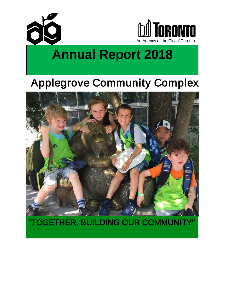



# **Annual Report 2018**

# Applegrove Community Complex



"TOGETHER, BUILDING OUR COMMUNITY"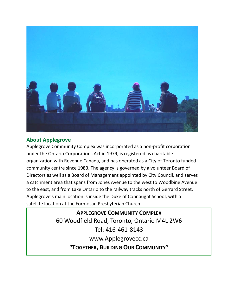

#### **About Applegrove**

Applegrove Community Complex was incorporated as a non-profit corporation under the Ontario Corporations Act in 1979, is registered as charitable organization with Revenue Canada, and has operated as a City of Toronto funded community centre since 1983. The agency is governed by a volunteer Board of Directors as well as a Board of Management appointed by City Council, and serves a catchment area that spans from Jones Avenue to the west to Woodbine Avenue to the east, and from Lake Ontario to the railway tracks north of Gerrard Street. Applegrove's main location is inside the Duke of Connaught School, with a satellite location at the Formosan Presbyterian Church.

> **APPLEGROVE COMMUNITY COMPLEX** 60 Woodfield Road, Toronto, Ontario M4L 2W6 Tel: 416-461-8143 www.Applegrovecc.ca **"TOGETHER, BUILDING OUR COMMUNITY"**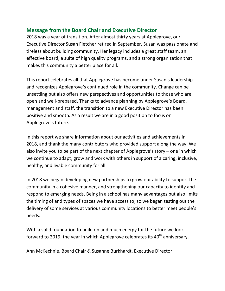#### **Message from the Board Chair and Executive Director**

2018 was a year of transition. After almost thirty years at Applegrove, our Executive Director Susan Fletcher retired in September. Susan was passionate and tireless about building community. Her legacy includes a great staff team, an effective board, a suite of high quality programs, and a strong organization that makes this community a better place for all.

This report celebrates all that Applegrove has become under Susan's leadership and recognizes Applegrove's continued role in the community. Change can be unsettling but also offers new perspectives and opportunities to those who are open and well-prepared. Thanks to advance planning by Applegrove's Board, management and staff, the transition to a new Executive Director has been positive and smooth. As a result we are in a good position to focus on Applegrove's future.

In this report we share information about our activities and achievements in 2018, and thank the many contributors who provided support along the way. We also invite you to be part of the next chapter of Applegrove's story – one in which we continue to adapt, grow and work with others in support of a caring, inclusive, healthy, and livable community for all.

In 2018 we began developing new partnerships to grow our ability to support the community in a cohesive manner, and strengthening our capacity to identify and respond to emerging needs. Being in a school has many advantages but also limits the timing of and types of spaces we have access to, so we began testing out the delivery of some services at various community locations to better meet people's needs.

With a solid foundation to build on and much energy for the future we look forward to 2019, the year in which Applegrove celebrates its  $40<sup>th</sup>$  anniversary.

Ann McKechnie, Board Chair & Susanne Burkhardt, Executive Director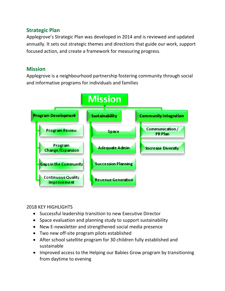#### **Strategic Plan**

Applegrove's Strategic Plan was developed in 2014 and is reviewed and updated annually. It sets out strategic themes and directions that guide our work, support focused action, and create a framework for measuring progress.

#### **Mission**

Applegrove is a neighbourhood partnership fostering community through social and informative programs for individuals and families



#### 2018 KEY HIGHLIGHTS

- Successful leadership transition to new Executive Director
- Space evaluation and planning study to support sustainability
- New E-newsletter and strengthened social media presence
- Two new off-site program pilots established
- After school satellite program for 30 children fully established and sustainable
- Improved access to the Helping our Babies Grow program by transitioning from daytime to evening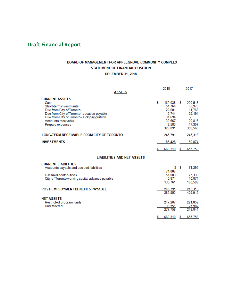#### **Draft Financial Report**

#### BOARD OF MANAGEMENT FOR APPLEGROVE COMMUNITY COMPLEX STATEMENT OF FINANCIAL POSITION

#### **DECEMBER 31, 2018**

| <b>ASSETS</b>                                                                                                                                                                                                                 |    | 2018                                                                           |    | 2017                                                                 |
|-------------------------------------------------------------------------------------------------------------------------------------------------------------------------------------------------------------------------------|----|--------------------------------------------------------------------------------|----|----------------------------------------------------------------------|
| <b>CURRENT ASSETS</b><br>Cash<br>Short-term investments<br>Due from City of Toronto<br>Due from City of Toronto - vacation payable<br>Due from City of Toronto - sick pay gratuity<br>Accounts receivable<br>Prepaid expenses | S  | 162,038<br>51,764<br>22,601<br>15.744<br>31,694<br>32,667<br>12,583<br>329.091 | S  | 200,516<br>83,970<br>11,766<br>25.191<br>20,816<br>17.307<br>359,566 |
| LONG-TERM RECEIVABLE FROM CITY OF TORONTO                                                                                                                                                                                     |    | 245,791                                                                        |    | 245,313                                                              |
| <b>INVESTMENTS</b>                                                                                                                                                                                                            |    | 85,428                                                                         |    | 50.874                                                               |
|                                                                                                                                                                                                                               | S  | 660,310                                                                        | S  | 655,753                                                              |
| <b>LIABILITIES AND NET ASSETS</b>                                                                                                                                                                                             |    |                                                                                |    |                                                                      |
| <b>CURRENT LIABILITIES</b><br>Accounts payable and accrued liabilities<br>Deferred contributions<br>City of Toronto working capital advance payable                                                                           |    | \$<br>74.887<br>51,003<br>10,871<br>136,761                                    | S  | 74,392<br>75,336<br>10,871<br>160,599                                |
| <b>POST-EMPLOYMENT BENEFITS PAYABLE</b>                                                                                                                                                                                       |    | 245,791<br>382.552                                                             |    | 245,313<br>405,912                                                   |
| <b>NET ASSETS</b><br>Restricted program funds<br>Unrestricted                                                                                                                                                                 |    | 247.207<br>30,551<br>277,758                                                   |    | 221,859<br>27,982<br>249,841                                         |
|                                                                                                                                                                                                                               | \$ | 660.310                                                                        | \$ | 655.753                                                              |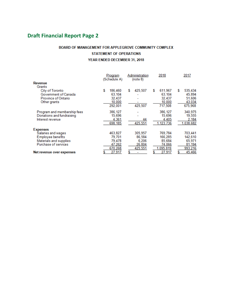### **Draft Financial Report Page 2**

#### BOARD OF MANAGEMENT FOR APPLEGROVE COMMUNITY COMPLEX STATEMENT OF OPERATIONS YEAR ENDED DECEMBER 31, 2018

|                             | Program<br>(Schedule A) | Administration<br>(note 8) | 2018         | 2017         |
|-----------------------------|-------------------------|----------------------------|--------------|--------------|
| <b>Revenue</b>              |                         |                            |              |              |
| Grants                      |                         |                            |              |              |
| City of Toronto             | S<br>186,460            | 425,507<br>S               | 611,967<br>S | 535,434<br>S |
| Government of Canada        | 63,104                  |                            | 63,104       | 45,894       |
| Province of Ontario         | 32.437                  |                            | 32,437       | 51,606       |
| Other grants                | 10,000                  |                            | 10,000       | 43,034       |
|                             | 292,001                 | 425,507                    | 717,508      | 675,968      |
| Program and membership fees | 386,127                 |                            | 386, 127     | 340,975      |
| Donations and fundraising   | 15,696                  |                            | 15,696       | 19,555       |
| Interest revenue            | 4,361                   | 44                         | 4,405        | 2,184        |
|                             | 698,185                 | 425,551                    | 1,123,736    | 1.038,682    |
| <b>Expenses</b>             |                         |                            |              |              |
| Salaries and wages          | 463,827                 | 305,957                    | 769,784      | 703,441      |
| <b>Employee benefits</b>    | 79.701                  | 86,584                     | 166.285      | 142,610      |
| Materials and supplies      | 79.478                  | 6.206                      | 85.684       | 65,971       |
| Purchase of services        | 47,262                  | 26,804                     | 74.066       | 81,194       |
|                             | 670,268                 | 425,551                    | 1,095,819    | 993,216      |
| Net revenue over expenses   | 27,917                  | \$                         | 27,917       | 45,466       |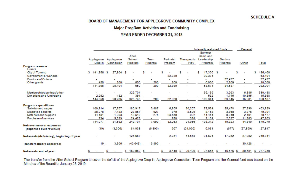#### BOARD OF MANAGEMENT FOR APPLEGROVE COMMUNITY COMPLEX

### **Major ProgRam Activities and Fundraising**

#### YEAR ENDED DECEMBER 31, 2018

|                                           |                          |                                 |                            |                        |                      |                                   | Internally restricted funds                        |                           | General        |                |
|-------------------------------------------|--------------------------|---------------------------------|----------------------------|------------------------|----------------------|-----------------------------------|----------------------------------------------------|---------------------------|----------------|----------------|
|                                           | Applegrove<br>Drop-in    | Applegrove<br><b>Connection</b> | After<br>School<br>Program | <b>Teen</b><br>Program | Perinatal<br>Program | <b>Therapeutic</b><br><b>Play</b> | <b>Summer</b><br>Camp and<br>Leadership<br>Program | <b>Seniors</b><br>Program | Other          | Total          |
| Program revenue<br><b>Grants</b>          |                          |                                 |                            |                        |                      |                                   |                                                    |                           |                |                |
| City of Toronto                           | 5.<br>$141,356$ \$       | 27,804 \$                       |                            | S.                     | s.                   | S.                                | 17,300S<br>5                                       |                           | s              | 186,460        |
| Government of Canada                      |                          |                                 |                            |                        | 32,730               |                                   | 30,374                                             |                           |                | 63,104         |
| Province of Ontario                       |                          |                                 |                            |                        |                      |                                   | $\mathbf{r}$                                       | 32,437                    |                | 32,437         |
| <b>Other grants</b>                       | 450                      | 300                             | 650                        | 200                    | 200                  | $\mathbf{r}$                      | 6,000                                              | 2,200                     |                | 10,000         |
|                                           | 141,806                  | 28,104                          | 650                        | 200                    | 32,930               | $\mathbf{r}$                      | 53,674                                             | 34,637                    | $\mathbf{m}$ . | 292,001        |
| Membership/userfees/other                 |                          |                                 | 325,704                    |                        |                      |                                   | 55,135                                             | 3,263                     | 6,386          | 390,488        |
| Donations and fundraising                 | 2,252                    | 182                             | 391                        |                        |                      |                                   | 532                                                | 1,746                     | 10,595         | 15,698         |
|                                           | 144,058                  | 28,286                          | 326,745                    | 200                    | 32,930               | $\mathbf{m}$ .                    | 109,341                                            | 39,646                    | 16,981         | 698,187        |
| <b>Program expenditures</b>               |                          |                                 |                            |                        |                      |                                   |                                                    |                           |                |                |
| Salaries and wages                        | 100,914                  | 17,757                          | 180,917                    | 5,887                  | 6,855                | 20,207                            | 78,524                                             | 25,478                    | 27,290         | 463,829        |
| <b>Employee benefits</b>                  | 28,278                   | 7,133                           | 23,857                     | 927                    | 970                  | 2,529                             | 8,163                                              | 3,868                     | 3,976          | 79,701         |
| Materials and supplies                    | 14,151                   | 1,303                           | 13,510                     | 276                    | 23,650               | 992                               | 14,464                                             | 8,940                     | 2,191          | 79,477         |
| Purchase of services                      | 734                      | 5,399                           | 24,423                     |                        | 788                  | 338                               | 2,161                                              | 2,037                     | 11,383         | 47,263         |
|                                           | 144,077                  | 31,592                          | 242,707                    | 7,090                  | 32,263               | 24,066                            | 103,312                                            | 40,323                    | 44,840         | 670,270        |
| Net revenue over expenses                 |                          |                                 |                            |                        |                      |                                   |                                                    |                           |                |                |
| (expenses over revenue)                   | (19)                     | (3, 306)                        | 84,038                     | (6, 890)               | 667                  | (24, 066)                         | 6,031                                              | (677)                     | (27, 859)      | 27,917         |
| Netassets (deficiency), beginning of year |                          | m.                              | 125,667                    | ш.                     | 2,751                | 44,565                            | 31,624                                             | 17,252                    | 27,982         | 249,841        |
| <b>Transfers (Board approved)</b>         | 19                       | 3,306                           | (40, 643)                  | 6,890                  |                      |                                   |                                                    |                           | 30,428         |                |
| Netassets, end of year                    | <b>Contract Contract</b> | 5.<br>$\sim 10^{-11}$           | $169,062$ \$<br>S.         | $\sim 1000$            | $3,418$ \$<br>\$.    | $20,499$ \$                       | 37,655                                             | $16,575$ \$<br>-51        | 30,551         | 277,758<br>\$. |

The transfer from the After School Program to cover the deficit of the Applegrove Drop-in, Applegrove Connection, Teen Program and the General fund was based on the Minutes of the Boardfor January 28, 2019.

#### **SCHEDULE A**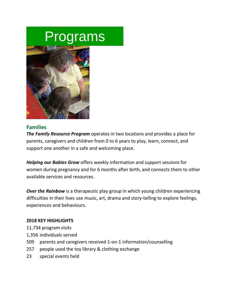# Programs



#### **Families**

*The Family Resource Program* operates in two locations and provides a place for parents, caregivers and children from 0 to 6 years to play, learn, connect, and support one another in a safe and welcoming place.

*Helping our Babies Grow* offers weekly information and support sessions for women during pregnancy and for 6 months after birth, and connects them to other available services and resources.

**Over the Rainbow** is a therapeutic play group in which young children experiencing difficulties in their lives use music, art, drama and story-telling to explore feelings, experiences and behaviours.

#### **2018 KEY HIGHLIGHTS**

- 11,734 program visits
- 1,356 individuals served
- 509 parents and caregivers received 1-on-1 information/counselling
- 257 people used the toy library & clothing exchange
- 23 special events held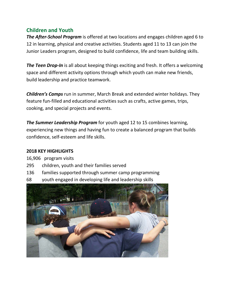#### **Children and Youth**

*The After-School Program* is offered at two locations and engages children aged 6 to 12 in learning, physical and creative activities. Students aged 11 to 13 can join the Junior Leaders program, designed to build confidence, life and team building skills.

**The Teen Drop-In** is all about keeping things exciting and fresh. It offers a welcoming space and different activity options through which youth can make new friends, build leadership and practice teamwork.

*Children's Camps* run in summer, March Break and extended winter holidays. They feature fun-filled and educational activities such as crafts, active games, trips, cooking, and special projects and events.

*The Summer Leadership Program* for youth aged 12 to 15 combines learning, experiencing new things and having fun to create a balanced program that builds confidence, self-esteem and life skills.

#### **2018 KEY HIGHLIGHTS**

16,906 program visits

- 295 children, youth and their families served
- 136 families supported through summer camp programming
- 68 youth engaged in developing life and leadership skills

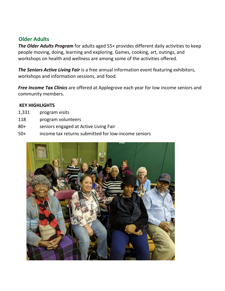#### **Older Adults**

*The Older Adults Program* for adults aged 55+ provides different daily activities to keep people moving, doing, learning and exploring. Games, cooking, art, outings, and workshops on health and wellness are among some of the activities offered.

*The Seniors Active Living Fair* is a free annual information event featuring exhibitors, workshops and information sessions, and food.

*Free Income Tax Clinics* are offered at Applegrove each year for low income seniors and community members.

#### **KEY HIGHLIGHTS**

- 1,331 program visits
- 118 program volunteers
- 80+ seniors engaged at Active Living Fair
- 50+ income tax returns submitted for low-income seniors

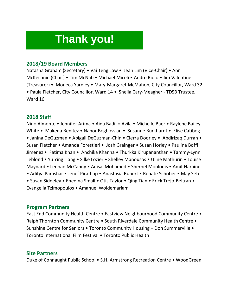## **Thank you!**

#### **2018/19 Board Members**

Natasha Graham (Secretary) • Vai Teng Law • Jean Lim (Vice-Chair) • Ann McKechnie (Chair) • Tim McNab • Michael Miceli • Andre Riolo • Jim Valentine (Treasurer) • Moneca Yardley • Mary-Margaret McMahon, City Councillor, Ward 32 • Paula Fletcher, City Councillor, Ward 14 • Sheila Cary-Meagher - TDSB Trustee, Ward 16

#### **2018 Staff**

Nino Almonte • Jennifer Arima • Aida Badillo Avila • Michelle Baer • Raylene Bailey-White • Makeda Benitez • Nanor Boghossian • Susanne Burkhardt • Elise Catibog • Janina DeGuzman • Abigail DeGuzman-Chin • Cierra Doorley • Abdirizaq Durran • Susan Fletcher • Amanda Forestieri • Josh Grainger • Susan Horley • Paulina Boffi Jimenez • Fatima Khan • Anchika Khanna • Thurkka Kirupananthan • Tammy-Lynn Leblond • Yu Ying Liang • Silke Lozier • Shelley Manousos • Uline Mathurin • Louise Maynard • Lennan McCanny • Anisa Mohamed • Shernel Monlouis • Amit Naraine • Aditya Parashar • Jenef Pirathap • Anastasia Rupert • Renate Schober • May Seto • Susan Siddeley • Enedina Small • Otis Taylor • Qing Tian • Erick Trejo-Beltran • Evangelia Tzimopoulos • Amanuel Woldemariam

#### **Program Partners**

East End Community Health Centre • Eastview Neighbourhood Community Centre • Ralph Thornton Community Centre • South Riverdale Community Health Centre • Sunshine Centre for Seniors • Toronto Community Housing – Don Summerville • Toronto International Film Festival • Toronto Public Health

#### **Site Partners**

Duke of Connaught Public School • S.H. Armstrong Recreation Centre • WoodGreen